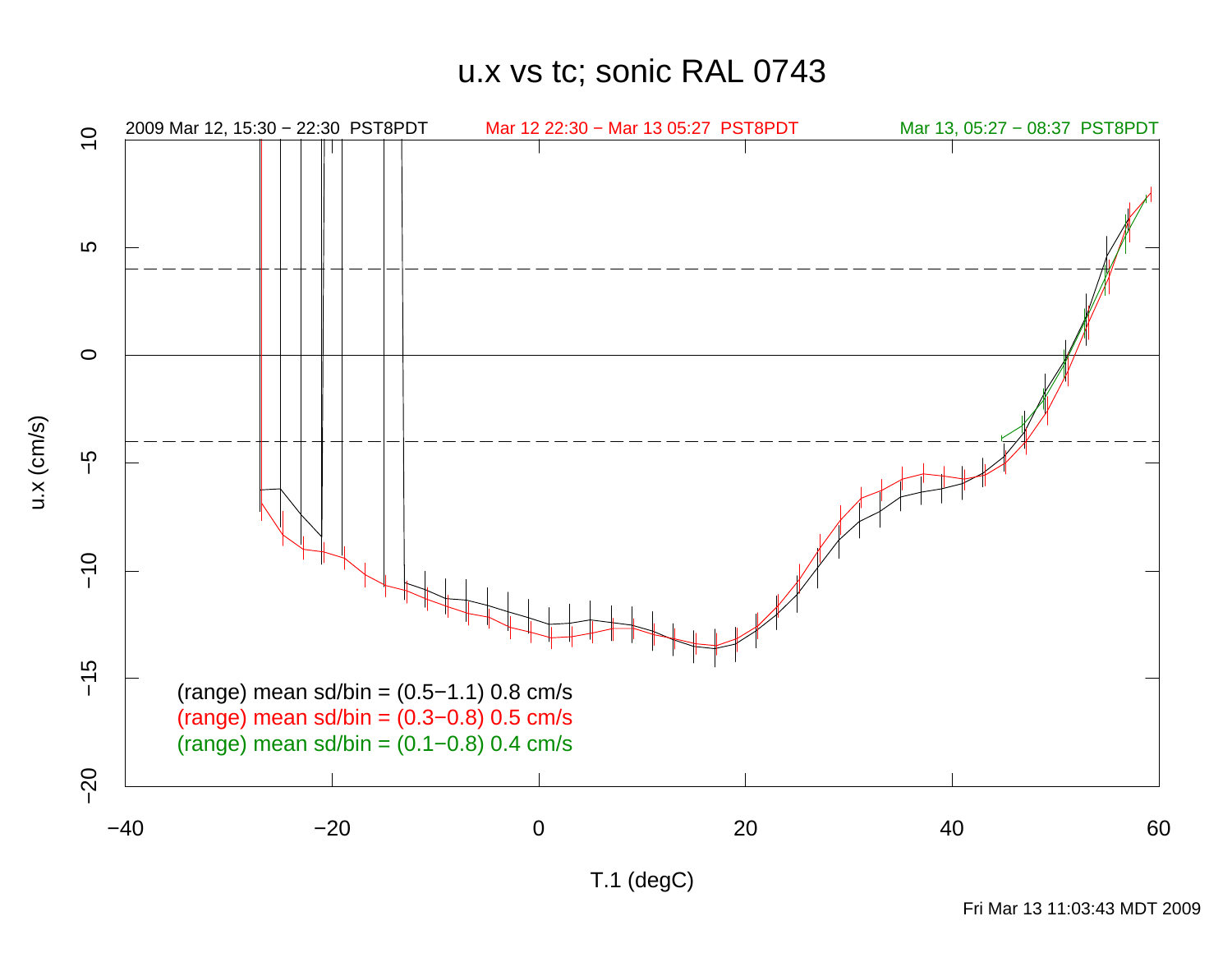## u.x vs tc; sonic RAL 0743

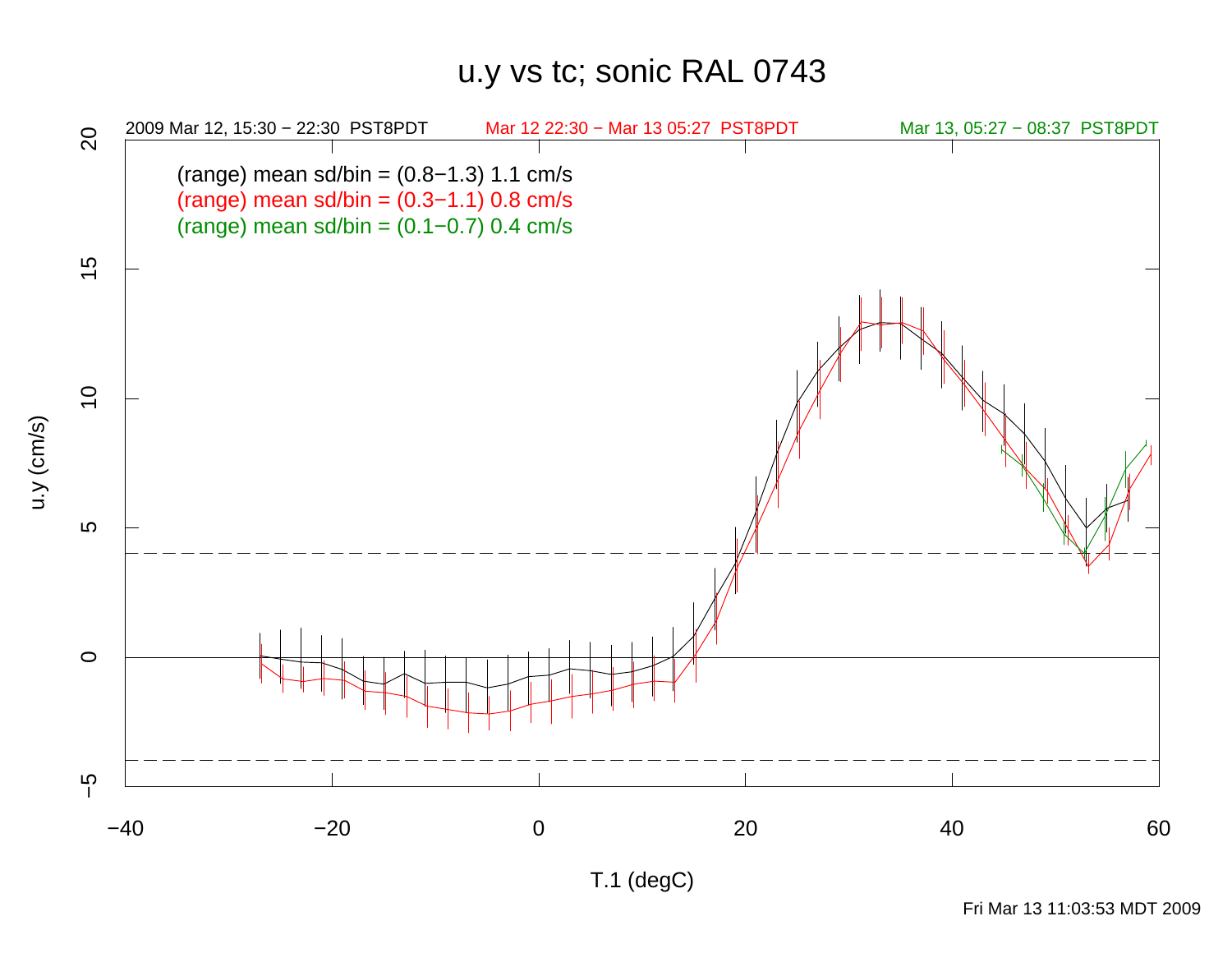## u.y vs tc; sonic RAL 0743



u.y (cm/s)

T.1 (degC)